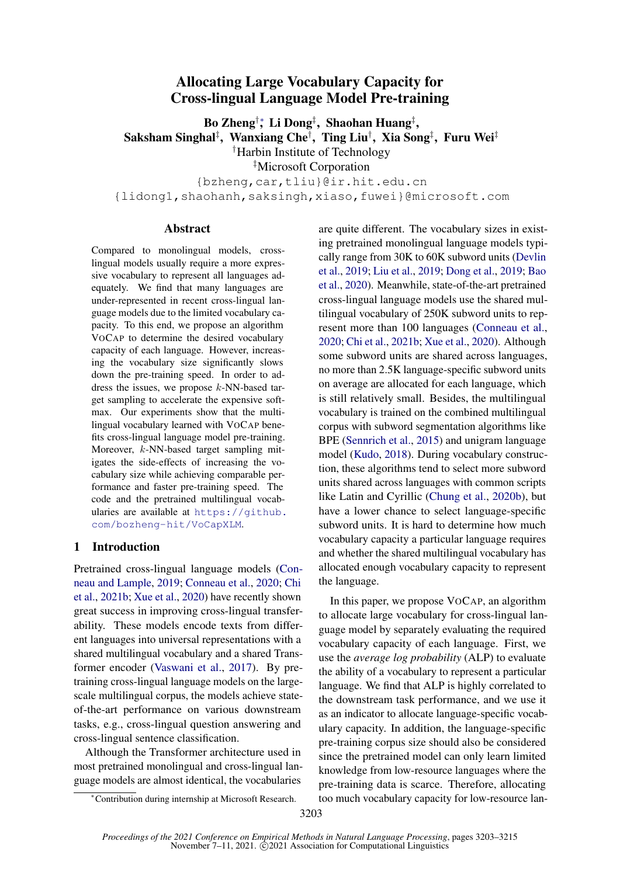# Allocating Large Vocabulary Capacity for Cross-lingual Language Model Pre-training

Bo Zheng†\*, Li Dong‡, Shaohan Huang‡, Saksham Singhal $^\ddag$ , Wanxiang Che $^\dag$ , Ting Liu $^\dag$ , Xia Song $^\ddag$ , Furu Wei $^\ddag$ †Harbin Institute of Technology ‡Microsoft Corporation

{bzheng,car,tliu}@ir.hit.edu.cn {lidong1,shaohanh,saksingh,xiaso,fuwei}@microsoft.com

#### Abstract

Compared to monolingual models, crosslingual models usually require a more expressive vocabulary to represent all languages adequately. We find that many languages are under-represented in recent cross-lingual language models due to the limited vocabulary capacity. To this end, we propose an algorithm VOCAP to determine the desired vocabulary capacity of each language. However, increasing the vocabulary size significantly slows down the pre-training speed. In order to address the issues, we propose k-NN-based target sampling to accelerate the expensive softmax. Our experiments show that the multilingual vocabulary learned with VOCAP benefits cross-lingual language model pre-training. Moreover, k-NN-based target sampling mitigates the side-effects of increasing the vocabulary size while achieving comparable performance and faster pre-training speed. The code and the pretrained multilingual vocabularies are available at [https://github.](https://github.com/bozheng-hit/VoCapXLM) [com/bozheng-hit/VoCapXLM](https://github.com/bozheng-hit/VoCapXLM).

## 1 Introduction

Pretrained cross-lingual language models [\(Con](#page-9-0)[neau and Lample,](#page-9-0) [2019;](#page-9-0) [Conneau et al.,](#page-9-1) [2020;](#page-9-1) [Chi](#page-8-0) [et al.,](#page-8-0) [2021b;](#page-8-0) [Xue et al.,](#page-10-0) [2020\)](#page-10-0) have recently shown great success in improving cross-lingual transferability. These models encode texts from different languages into universal representations with a shared multilingual vocabulary and a shared Transformer encoder [\(Vaswani et al.,](#page-10-1) [2017\)](#page-10-1). By pretraining cross-lingual language models on the largescale multilingual corpus, the models achieve stateof-the-art performance on various downstream tasks, e.g., cross-lingual question answering and cross-lingual sentence classification.

Although the Transformer architecture used in most pretrained monolingual and cross-lingual language models are almost identical, the vocabularies

are quite different. The vocabulary sizes in existing pretrained monolingual language models typically range from 30K to 60K subword units [\(Devlin](#page-9-2) [et al.,](#page-9-2) [2019;](#page-9-2) [Liu et al.,](#page-10-2) [2019;](#page-10-2) [Dong et al.,](#page-9-3) [2019;](#page-9-3) [Bao](#page-8-1) [et al.,](#page-8-1) [2020\)](#page-8-1). Meanwhile, state-of-the-art pretrained cross-lingual language models use the shared multilingual vocabulary of 250K subword units to represent more than 100 languages [\(Conneau et al.,](#page-9-1) [2020;](#page-9-1) [Chi et al.,](#page-8-0) [2021b;](#page-8-0) [Xue et al.,](#page-10-0) [2020\)](#page-10-0). Although some subword units are shared across languages, no more than 2.5K language-specific subword units on average are allocated for each language, which is still relatively small. Besides, the multilingual vocabulary is trained on the combined multilingual corpus with subword segmentation algorithms like BPE [\(Sennrich et al.,](#page-10-3) [2015\)](#page-10-3) and unigram language model [\(Kudo,](#page-9-4) [2018\)](#page-9-4). During vocabulary construction, these algorithms tend to select more subword units shared across languages with common scripts like Latin and Cyrillic [\(Chung et al.,](#page-9-5) [2020b\)](#page-9-5), but have a lower chance to select language-specific subword units. It is hard to determine how much vocabulary capacity a particular language requires and whether the shared multilingual vocabulary has allocated enough vocabulary capacity to represent the language.

In this paper, we propose VOCAP, an algorithm to allocate large vocabulary for cross-lingual language model by separately evaluating the required vocabulary capacity of each language. First, we use the *average log probability* (ALP) to evaluate the ability of a vocabulary to represent a particular language. We find that ALP is highly correlated to the downstream task performance, and we use it as an indicator to allocate language-specific vocabulary capacity. In addition, the language-specific pre-training corpus size should also be considered since the pretrained model can only learn limited knowledge from low-resource languages where the pre-training data is scarce. Therefore, allocating too much vocabulary capacity for low-resource lan-

<sup>∗</sup>Contribution during internship at Microsoft Research.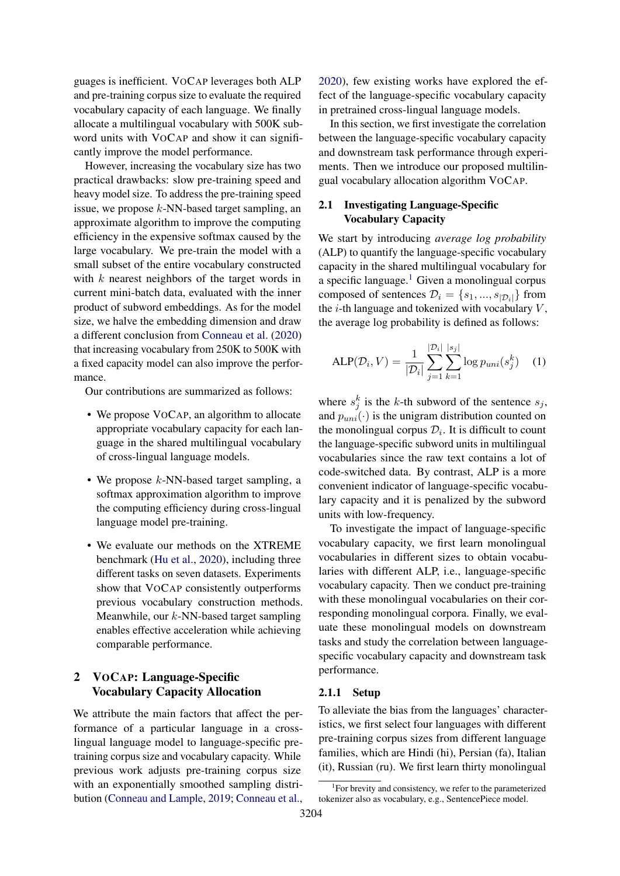guages is inefficient. VOCAP leverages both ALP and pre-training corpus size to evaluate the required vocabulary capacity of each language. We finally allocate a multilingual vocabulary with 500K subword units with VOCAP and show it can significantly improve the model performance.

However, increasing the vocabulary size has two practical drawbacks: slow pre-training speed and heavy model size. To address the pre-training speed issue, we propose  $k$ -NN-based target sampling, an approximate algorithm to improve the computing efficiency in the expensive softmax caused by the large vocabulary. We pre-train the model with a small subset of the entire vocabulary constructed with  $k$  nearest neighbors of the target words in current mini-batch data, evaluated with the inner product of subword embeddings. As for the model size, we halve the embedding dimension and draw a different conclusion from [Conneau et al.](#page-9-1) [\(2020\)](#page-9-1) that increasing vocabulary from 250K to 500K with a fixed capacity model can also improve the performance.

Our contributions are summarized as follows:

- We propose VOCAP, an algorithm to allocate appropriate vocabulary capacity for each language in the shared multilingual vocabulary of cross-lingual language models.
- We propose  $k$ -NN-based target sampling, a softmax approximation algorithm to improve the computing efficiency during cross-lingual language model pre-training.
- We evaluate our methods on the XTREME benchmark [\(Hu et al.,](#page-9-6) [2020\)](#page-9-6), including three different tasks on seven datasets. Experiments show that VOCAP consistently outperforms previous vocabulary construction methods. Meanwhile, our  $k$ -NN-based target sampling enables effective acceleration while achieving comparable performance.

## <span id="page-1-2"></span>2 VOCAP: Language-Specific Vocabulary Capacity Allocation

We attribute the main factors that affect the performance of a particular language in a crosslingual language model to language-specific pretraining corpus size and vocabulary capacity. While previous work adjusts pre-training corpus size with an exponentially smoothed sampling distribution [\(Conneau and Lample,](#page-9-0) [2019;](#page-9-0) [Conneau et al.,](#page-9-1)

[2020\)](#page-9-1), few existing works have explored the effect of the language-specific vocabulary capacity in pretrained cross-lingual language models.

In this section, we first investigate the correlation between the language-specific vocabulary capacity and downstream task performance through experiments. Then we introduce our proposed multilingual vocabulary allocation algorithm VOCAP.

## 2.1 Investigating Language-Specific Vocabulary Capacity

We start by introducing *average log probability* (ALP) to quantify the language-specific vocabulary capacity in the shared multilingual vocabulary for a specific language. $\frac{1}{1}$  $\frac{1}{1}$  $\frac{1}{1}$  Given a monolingual corpus composed of sentences  $\mathcal{D}_i = \{s_1, ..., s_{|\mathcal{D}_i|}\}\$ from the  $i$ -th language and tokenized with vocabulary  $V$ , the average log probability is defined as follows:

<span id="page-1-1"></span>ALP(
$$
\mathcal{D}_i, V
$$
) =  $\frac{1}{|\mathcal{D}_i|} \sum_{j=1}^{|\mathcal{D}_i|} \sum_{k=1}^{|s_j|} \log p_{uni}(s_j^k)$  (1)

where  $s_j^k$  is the k-th subword of the sentence  $s_j$ , and  $p_{uni}(\cdot)$  is the unigram distribution counted on the monolingual corpus  $\mathcal{D}_i$ . It is difficult to count the language-specific subword units in multilingual vocabularies since the raw text contains a lot of code-switched data. By contrast, ALP is a more convenient indicator of language-specific vocabulary capacity and it is penalized by the subword units with low-frequency.

To investigate the impact of language-specific vocabulary capacity, we first learn monolingual vocabularies in different sizes to obtain vocabularies with different ALP, i.e., language-specific vocabulary capacity. Then we conduct pre-training with these monolingual vocabularies on their corresponding monolingual corpora. Finally, we evaluate these monolingual models on downstream tasks and study the correlation between languagespecific vocabulary capacity and downstream task performance.

### 2.1.1 Setup

To alleviate the bias from the languages' characteristics, we first select four languages with different pre-training corpus sizes from different language families, which are Hindi (hi), Persian (fa), Italian (it), Russian (ru). We first learn thirty monolingual

<span id="page-1-0"></span><sup>1</sup> For brevity and consistency, we refer to the parameterized tokenizer also as vocabulary, e.g., SentencePiece model.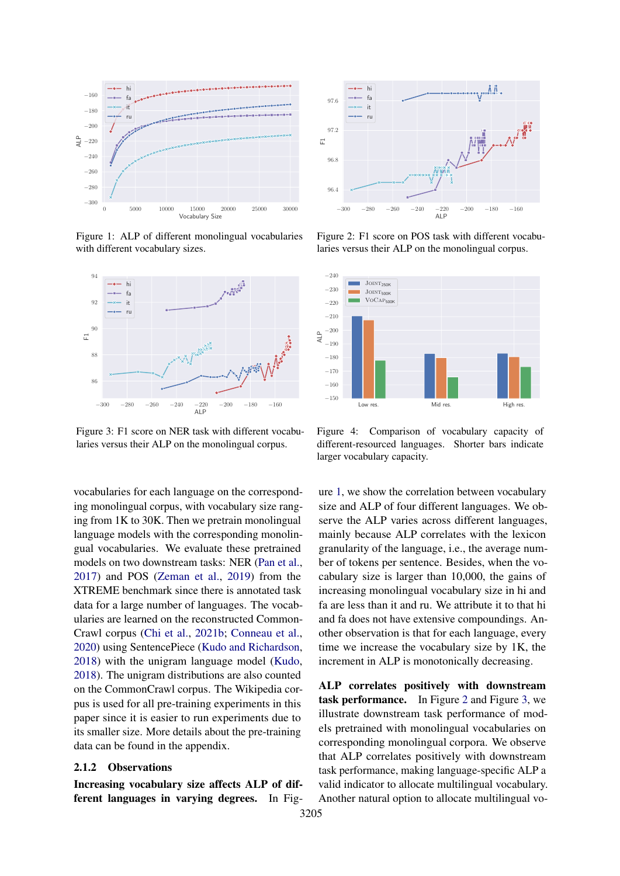<span id="page-2-0"></span>

Figure 1: ALP of different monolingual vocabularies with different vocabulary sizes.



Figure 3: F1 score on NER task with different vocabularies versus their ALP on the monolingual corpus.

vocabularies for each language on the corresponding monolingual corpus, with vocabulary size ranging from 1K to 30K. Then we pretrain monolingual language models with the corresponding monolingual vocabularies. We evaluate these pretrained models on two downstream tasks: NER [\(Pan et al.,](#page-10-4) [2017\)](#page-10-4) and POS [\(Zeman et al.,](#page-10-5) [2019\)](#page-10-5) from the XTREME benchmark since there is annotated task data for a large number of languages. The vocabularies are learned on the reconstructed Common-Crawl corpus [\(Chi et al.,](#page-8-0) [2021b;](#page-8-0) [Conneau et al.,](#page-9-1) [2020\)](#page-9-1) using SentencePiece [\(Kudo and Richardson,](#page-9-7) [2018\)](#page-9-7) with the unigram language model [\(Kudo,](#page-9-4) [2018\)](#page-9-4). The unigram distributions are also counted on the CommonCrawl corpus. The Wikipedia corpus is used for all pre-training experiments in this paper since it is easier to run experiments due to its smaller size. More details about the pre-training data can be found in the appendix.

#### <span id="page-2-1"></span>2.1.2 Observations

Increasing vocabulary size affects ALP of different languages in varying degrees. In Fig-



Figure 2: F1 score on POS task with different vocabularies versus their ALP on the monolingual corpus.



Figure 4: Comparison of vocabulary capacity of different-resourced languages. Shorter bars indicate larger vocabulary capacity.

ure [1,](#page-2-0) we show the correlation between vocabulary size and ALP of four different languages. We observe the ALP varies across different languages, mainly because ALP correlates with the lexicon granularity of the language, i.e., the average number of tokens per sentence. Besides, when the vocabulary size is larger than 10,000, the gains of increasing monolingual vocabulary size in hi and fa are less than it and ru. We attribute it to that hi and fa does not have extensive compoundings. Another observation is that for each language, every time we increase the vocabulary size by 1K, the increment in ALP is monotonically decreasing.

ALP correlates positively with downstream task performance. In Figure [2](#page-2-0) and Figure [3,](#page-2-0) we illustrate downstream task performance of models pretrained with monolingual vocabularies on corresponding monolingual corpora. We observe that ALP correlates positively with downstream task performance, making language-specific ALP a valid indicator to allocate multilingual vocabulary. Another natural option to allocate multilingual vo-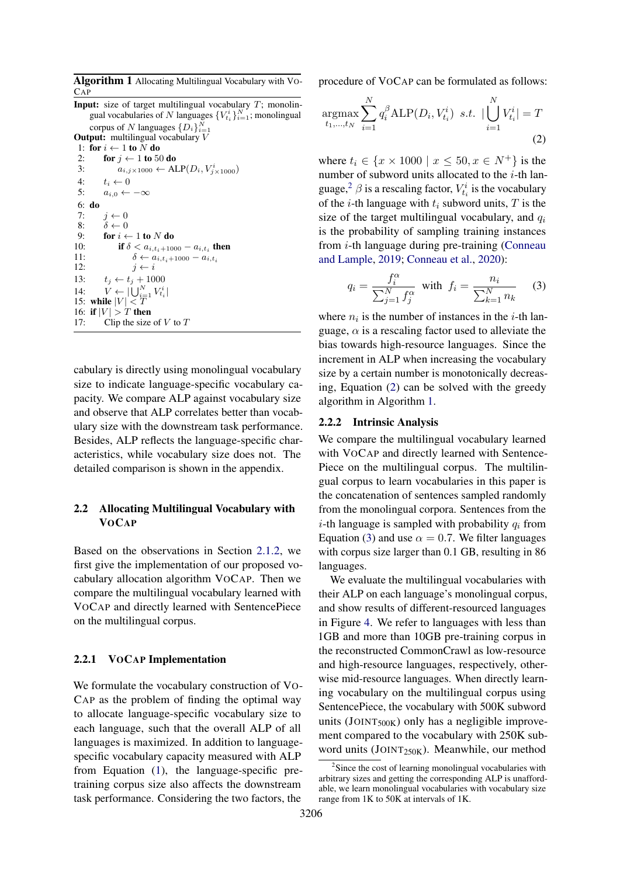<span id="page-3-2"></span>Algorithm 1 Allocating Multilingual Vocabulary with VO-CAP

**Input:** size of target multilingual vocabulary  $T$ ; monolingual vocabularies of N languages  $\{V_{t_i}^i\}_{i=1}^N$ ; monolingual corpus of N languages  $\{D_i\}_{i=1}^N$ 

**Output:** multilingual vocabulary V

```
1: for i \leftarrow 1 to N do
```

```
2: for j \leftarrow 1 to 50 do
```

```
3: a_{i,j \times 1000} \leftarrow \text{ALP}(D_i, V^i_{j \times 1000})4: t_i \leftarrow 0<br>5: a_{i,0} \leftarrowa_{i,0} \leftarrow -\infty6: do
 7: j \leftarrow 0<br>8: \delta \leftarrow 08: \delta \leftarrow 0<br>9: for i \leftarrow9: for i \leftarrow 1 to N do<br>10: if \delta < a_{i,t+10}10: if \delta < a_{i,t_i+1000} - a_{i,t_i} then
11: \delta \leftarrow a_{i,t_i+1000} - a_{i,t_i}<br>12: i \leftarrow ij \leftarrow i13: t_i \leftarrow t_i + 100014: V \leftarrow |\bigcup_{i=1}^{N} V_{t_i}^i|15: while |V| < T16: if |V| > T then
```
17: Clip the size of  $V$  to  $T$ 

cabulary is directly using monolingual vocabulary size to indicate language-specific vocabulary capacity. We compare ALP against vocabulary size and observe that ALP correlates better than vocabulary size with the downstream task performance. Besides, ALP reflects the language-specific characteristics, while vocabulary size does not. The detailed comparison is shown in the appendix.

## 2.2 Allocating Multilingual Vocabulary with **VOCAP**

Based on the observations in Section [2.1.2,](#page-2-1) we first give the implementation of our proposed vocabulary allocation algorithm VOCAP. Then we compare the multilingual vocabulary learned with VOCAP and directly learned with SentencePiece on the multilingual corpus.

### 2.2.1 VOCAP Implementation

We formulate the vocabulary construction of VO-CAP as the problem of finding the optimal way to allocate language-specific vocabulary size to each language, such that the overall ALP of all languages is maximized. In addition to languagespecific vocabulary capacity measured with ALP from Equation [\(1\)](#page-1-1), the language-specific pretraining corpus size also affects the downstream task performance. Considering the two factors, the

procedure of VOCAP can be formulated as follows:

<span id="page-3-1"></span>
$$
\underset{t_1,...,t_N}{\text{argmax}} \sum_{i=1}^{N} q_i^{\beta} \text{ALP}(D_i, V_{t_i}^i) \ \ s.t. \ |\bigcup_{i=1}^{N} V_{t_i}^i| = T
$$
\n(2)

where  $t_i \in \{x \times 1000 \mid x \le 50, x \in N^+\}$  is the number of subword units allocated to the  $i$ -th lan-guage,<sup>[2](#page-3-0)</sup>  $\beta$  is a rescaling factor,  $V_{t_i}^i$  is the vocabulary of the *i*-th language with  $t_i$  subword units,  $T$  is the size of the target multilingual vocabulary, and  $q_i$ is the probability of sampling training instances from  $i$ -th language during pre-training [\(Conneau](#page-9-0) [and Lample,](#page-9-0) [2019;](#page-9-0) [Conneau et al.,](#page-9-1) [2020\)](#page-9-1):

<span id="page-3-3"></span>
$$
q_i = \frac{f_i^{\alpha}}{\sum_{j=1}^N f_j^{\alpha}} \quad \text{with} \quad f_i = \frac{n_i}{\sum_{k=1}^N n_k} \tag{3}
$$

where  $n_i$  is the number of instances in the *i*-th language,  $\alpha$  is a rescaling factor used to alleviate the bias towards high-resource languages. Since the increment in ALP when increasing the vocabulary size by a certain number is monotonically decreasing, Equation [\(2\)](#page-3-1) can be solved with the greedy algorithm in Algorithm [1.](#page-3-2)

#### 2.2.2 Intrinsic Analysis

We compare the multilingual vocabulary learned with VOCAP and directly learned with Sentence-Piece on the multilingual corpus. The multilingual corpus to learn vocabularies in this paper is the concatenation of sentences sampled randomly from the monolingual corpora. Sentences from the *i*-th language is sampled with probability  $q_i$  from Equation [\(3\)](#page-3-3) and use  $\alpha = 0.7$ . We filter languages with corpus size larger than 0.1 GB, resulting in 86 languages.

We evaluate the multilingual vocabularies with their ALP on each language's monolingual corpus, and show results of different-resourced languages in Figure [4.](#page-2-0) We refer to languages with less than 1GB and more than 10GB pre-training corpus in the reconstructed CommonCrawl as low-resource and high-resource languages, respectively, otherwise mid-resource languages. When directly learning vocabulary on the multilingual corpus using SentencePiece, the vocabulary with 500K subword units ( $JOINT<sub>500K</sub>$ ) only has a negligible improvement compared to the vocabulary with 250K subword units (JOINT<sub>250K</sub>). Meanwhile, our method

<span id="page-3-0"></span><sup>&</sup>lt;sup>2</sup>Since the cost of learning monolingual vocabularies with arbitrary sizes and getting the corresponding ALP is unaffordable, we learn monolingual vocabularies with vocabulary size range from 1K to 50K at intervals of 1K.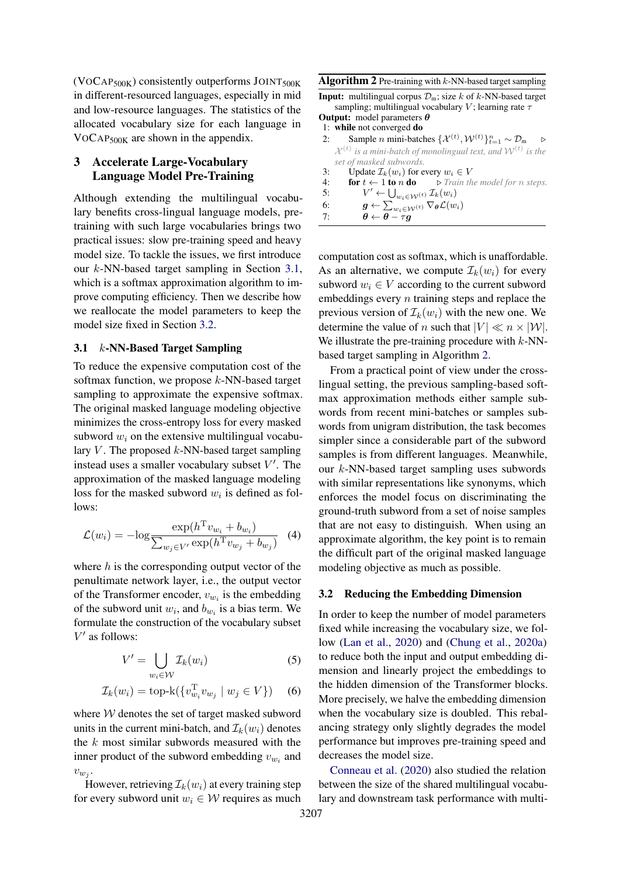$(VOCAP<sub>500K</sub>)$  consistently outperforms JOINT<sub>500K</sub> in different-resourced languages, especially in mid and low-resource languages. The statistics of the allocated vocabulary size for each language in VOCAP500K are shown in the appendix.

## 3 Accelerate Large-Vocabulary Language Model Pre-Training

Although extending the multilingual vocabulary benefits cross-lingual language models, pretraining with such large vocabularies brings two practical issues: slow pre-training speed and heavy model size. To tackle the issues, we first introduce our k-NN-based target sampling in Section [3.1,](#page-4-0) which is a softmax approximation algorithm to improve computing efficiency. Then we describe how we reallocate the model parameters to keep the model size fixed in Section [3.2.](#page-4-1)

### <span id="page-4-0"></span>3.1 k-NN-Based Target Sampling

To reduce the expensive computation cost of the softmax function, we propose  $k$ -NN-based target sampling to approximate the expensive softmax. The original masked language modeling objective minimizes the cross-entropy loss for every masked subword  $w_i$  on the extensive multilingual vocabulary  $V$ . The proposed  $k$ -NN-based target sampling instead uses a smaller vocabulary subset  $V'$ . The approximation of the masked language modeling loss for the masked subword  $w_i$  is defined as follows:

$$
\mathcal{L}(w_i) = -\log \frac{\exp(h^{\mathrm{T}} v_{w_i} + b_{w_i})}{\sum_{w_j \in V'} \exp(h^{\mathrm{T}} v_{w_j} + b_{w_j})} \quad (4)
$$

where  $h$  is the corresponding output vector of the penultimate network layer, i.e., the output vector of the Transformer encoder,  $v_{w_i}$  is the embedding of the subword unit  $w_i$ , and  $b_{w_i}$  is a bias term. We formulate the construction of the vocabulary subset  $V^\prime$  as follows:

$$
V' = \bigcup_{w_i \in \mathcal{W}} \mathcal{I}_k(w_i) \tag{5}
$$

$$
\mathcal{I}_k(w_i) = \text{top-k}(\{v_{w_i}^{\mathrm{T}} v_{w_j} \mid w_j \in V\}) \quad (6)
$$

where  $W$  denotes the set of target masked subword units in the current mini-batch, and  $\mathcal{I}_k(w_i)$  denotes the  $k$  most similar subwords measured with the inner product of the subword embedding  $v_{w_i}$  and  $v_{w_j}$ .

However, retrieving  $\mathcal{I}_k(w_i)$  at every training step for every subword unit  $w_i \in W$  requires as much

<span id="page-4-2"></span>

| Algorithm 2 Pre-training with $k$ -NN-based target sampling |  |  |  |  |  |  |  |
|-------------------------------------------------------------|--|--|--|--|--|--|--|
|-------------------------------------------------------------|--|--|--|--|--|--|--|

**Input:** multilingual corpus  $\mathcal{D}_m$ ; size k of k-NN-based target sampling; multilingual vocabulary V; learning rate  $\tau$ Output: model parameters θ

- 1: while not converged do
- 2: Sample *n* mini-batches  $\{\mathcal{X}^{(t)}, \mathcal{W}^{(t)}\}_{t=1}^{n} \sim \mathcal{D}_{\text{m}}$   $\triangleright$  $\mathcal{X}^{(t)}$  is a mini-batch of monolingual text, and  $\mathcal{W}^{(t)}$  is the *set of masked subwords.*
- 3: Update  $\mathcal{I}_k(w_i)$  for every  $w_i \in V$
- 4: **for**  $t \leftarrow 1$  **to**  $n$  **do**  $\Rightarrow$  *Train the model for*  $n$  *steps.*
- $5:$  $\mathcal{O}' \leftarrow \bigcup_{w_i \in \mathcal{W}^{(t)}} \mathcal{I}_k(w_i)$
- 6:  $\boldsymbol{g} \leftarrow \sum_{w_i \in \mathcal{W}^{(t)}} \nabla_{\boldsymbol{\theta}} \mathcal{L}(w_i)$
- 7:  $\theta \leftarrow \theta \tau g$

computation cost as softmax, which is unaffordable. As an alternative, we compute  $\mathcal{I}_k(w_i)$  for every subword  $w_i \in V$  according to the current subword embeddings every  $n$  training steps and replace the previous version of  $\mathcal{I}_k(w_i)$  with the new one. We determine the value of n such that  $|V| \ll n \times |W|$ . We illustrate the pre-training procedure with  $k$ -NNbased target sampling in Algorithm [2.](#page-4-2)

From a practical point of view under the crosslingual setting, the previous sampling-based softmax approximation methods either sample subwords from recent mini-batches or samples subwords from unigram distribution, the task becomes simpler since a considerable part of the subword samples is from different languages. Meanwhile, our k-NN-based target sampling uses subwords with similar representations like synonyms, which enforces the model focus on discriminating the ground-truth subword from a set of noise samples that are not easy to distinguish. When using an approximate algorithm, the key point is to remain the difficult part of the original masked language modeling objective as much as possible.

#### <span id="page-4-1"></span>3.2 Reducing the Embedding Dimension

In order to keep the number of model parameters fixed while increasing the vocabulary size, we follow [\(Lan et al.,](#page-9-8) [2020\)](#page-9-8) and [\(Chung et al.,](#page-9-9) [2020a\)](#page-9-9) to reduce both the input and output embedding dimension and linearly project the embeddings to the hidden dimension of the Transformer blocks. More precisely, we halve the embedding dimension when the vocabulary size is doubled. This rebalancing strategy only slightly degrades the model performance but improves pre-training speed and decreases the model size.

[Conneau et al.](#page-9-1) [\(2020\)](#page-9-1) also studied the relation between the size of the shared multilingual vocabulary and downstream task performance with multi-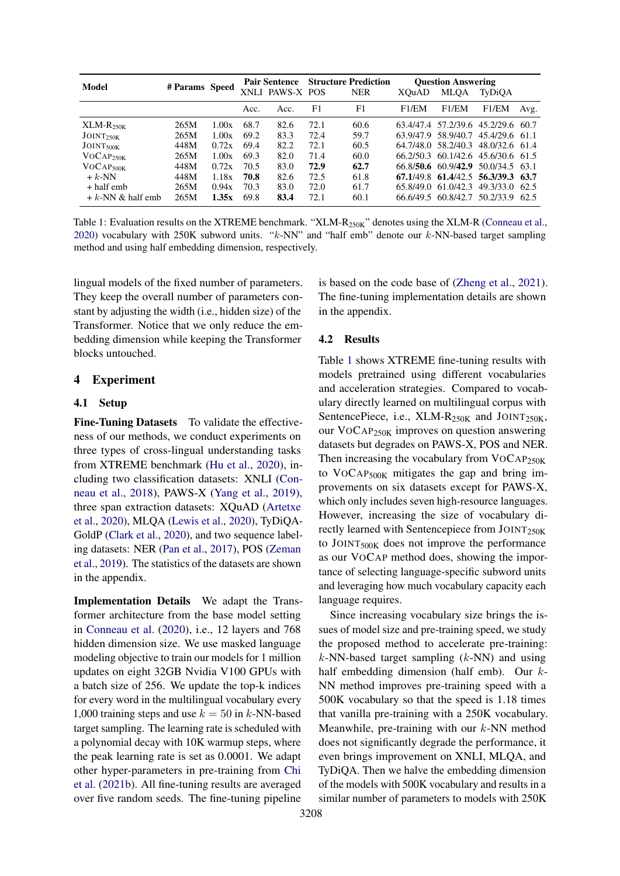<span id="page-5-0"></span>

| Model                  | # Params Speed |       |      | <b>Pair Sentence</b><br>XNLI PAWS-X POS |      | <b>Structure Prediction</b><br><b>NER</b> | XOuAD | <b>Ouestion Answering</b><br>MLOA | TyDiOA                                |      |
|------------------------|----------------|-------|------|-----------------------------------------|------|-------------------------------------------|-------|-----------------------------------|---------------------------------------|------|
|                        |                |       | Acc. | Acc.                                    | F1   | F1                                        | F1/EM | F1/EM                             | F1/EM                                 | Avg. |
| $XLM-R250K$            | 265M           | 1.00x | 68.7 | 82.6                                    | 72.1 | 60.6                                      |       |                                   | 63.4/47.4 57.2/39.6 45.2/29.6 60.7    |      |
| JOINT <sub>250K</sub>  | 265M           | 1.00x | 69.2 | 83.3                                    | 72.4 | 59.7                                      |       |                                   | 63.9/47.9 58.9/40.7 45.4/29.6 61.1    |      |
| JOINT <sub>500</sub> K | 448M           | 0.72x | 69.4 | 82.2                                    | 72.1 | 60.5                                      |       |                                   | 64.7/48.0 58.2/40.3 48.0/32.6 61.4    |      |
| VOCAP <sub>250K</sub>  | 265M           | 1.00x | 69.3 | 82.0                                    | 71.4 | 60.0                                      |       |                                   | 66.2/50.3 60.1/42.6 45.6/30.6 61.5    |      |
| VOCAP <sub>500K</sub>  | 448M           | 0.72x | 70.5 | 83.0                                    | 72.9 | 62.7                                      |       |                                   | 66.8/50.6 60.9/42.9 50.0/34.5 63.1    |      |
| $+ k$ -NN              | 448M           | 1.18x | 70.8 | 82.6                                    | 72.5 | 61.8                                      |       |                                   | 67, 1/49.8 61, 4/42.5 56, 3/39.3 63.7 |      |
| $+$ half emb           | 265M           | 0.94x | 70.3 | 83.0                                    | 72.0 | 61.7                                      |       | 65.8/49.0 61.0/42.3               | 49.3/33.0 62.5                        |      |
| $+ k$ -NN & half emb   | 265M           | 1.35x | 69.8 | 83.4                                    | 72.1 | 60.1                                      |       |                                   | 66.6/49.5 60.8/42.7 50.2/33.9 62.5    |      |

Table 1: Evaluation results on the XTREME benchmark. "XLM-R<sub>250K</sub>" denotes using the XLM-R [\(Conneau et al.,](#page-9-1) [2020\)](#page-9-1) vocabulary with 250K subword units. " $k$ -NN" and "half emb" denote our  $k$ -NN-based target sampling method and using half embedding dimension, respectively.

lingual models of the fixed number of parameters. They keep the overall number of parameters constant by adjusting the width (i.e., hidden size) of the Transformer. Notice that we only reduce the embedding dimension while keeping the Transformer blocks untouched.

### 4 Experiment

### 4.1 Setup

Fine-Tuning Datasets To validate the effectiveness of our methods, we conduct experiments on three types of cross-lingual understanding tasks from XTREME benchmark [\(Hu et al.,](#page-9-6) [2020\)](#page-9-6), including two classification datasets: XNLI [\(Con](#page-9-10)[neau et al.,](#page-9-10) [2018\)](#page-9-10), PAWS-X [\(Yang et al.,](#page-10-6) [2019\)](#page-10-6), three span extraction datasets: XQuAD [\(Artetxe](#page-8-2) [et al.,](#page-8-2) [2020\)](#page-8-2), MLQA [\(Lewis et al.,](#page-9-11) [2020\)](#page-9-11), TyDiQA-GoldP [\(Clark et al.,](#page-9-12) [2020\)](#page-9-12), and two sequence labeling datasets: NER [\(Pan et al.,](#page-10-4) [2017\)](#page-10-4), POS [\(Zeman](#page-10-5) [et al.,](#page-10-5) [2019\)](#page-10-5). The statistics of the datasets are shown in the appendix.

Implementation Details We adapt the Transformer architecture from the base model setting in [Conneau et al.](#page-9-1) [\(2020\)](#page-9-1), i.e., 12 layers and 768 hidden dimension size. We use masked language modeling objective to train our models for 1 million updates on eight 32GB Nvidia V100 GPUs with a batch size of 256. We update the top-k indices for every word in the multilingual vocabulary every 1,000 training steps and use  $k = 50$  in k-NN-based target sampling. The learning rate is scheduled with a polynomial decay with 10K warmup steps, where the peak learning rate is set as 0.0001. We adapt other hyper-parameters in pre-training from [Chi](#page-8-0) [et al.](#page-8-0) [\(2021b\)](#page-8-0). All fine-tuning results are averaged over five random seeds. The fine-tuning pipeline

is based on the code base of [\(Zheng et al.,](#page-10-7) [2021\)](#page-10-7). The fine-tuning implementation details are shown in the appendix.

#### 4.2 Results

Table [1](#page-5-0) shows XTREME fine-tuning results with models pretrained using different vocabularies and acceleration strategies. Compared to vocabulary directly learned on multilingual corpus with SentencePiece, i.e.,  $XLM-R_{250K}$  and  $JOINT_{250K}$ , our VOCAP250K improves on question answering datasets but degrades on PAWS-X, POS and NER. Then increasing the vocabulary from VOCAP<sub>250K</sub> to VOCAP500K mitigates the gap and bring improvements on six datasets except for PAWS-X, which only includes seven high-resource languages. However, increasing the size of vocabulary directly learned with Sentencepiece from JOINT250K to JOINT500K does not improve the performance as our VOCAP method does, showing the importance of selecting language-specific subword units and leveraging how much vocabulary capacity each language requires.

Since increasing vocabulary size brings the issues of model size and pre-training speed, we study the proposed method to accelerate pre-training:  $k$ -NN-based target sampling  $(k$ -NN) and using half embedding dimension (half emb). Our k-NN method improves pre-training speed with a 500K vocabulary so that the speed is 1.18 times that vanilla pre-training with a 250K vocabulary. Meanwhile, pre-training with our  $k$ -NN method does not significantly degrade the performance, it even brings improvement on XNLI, MLQA, and TyDiQA. Then we halve the embedding dimension of the models with 500K vocabulary and results in a similar number of parameters to models with 250K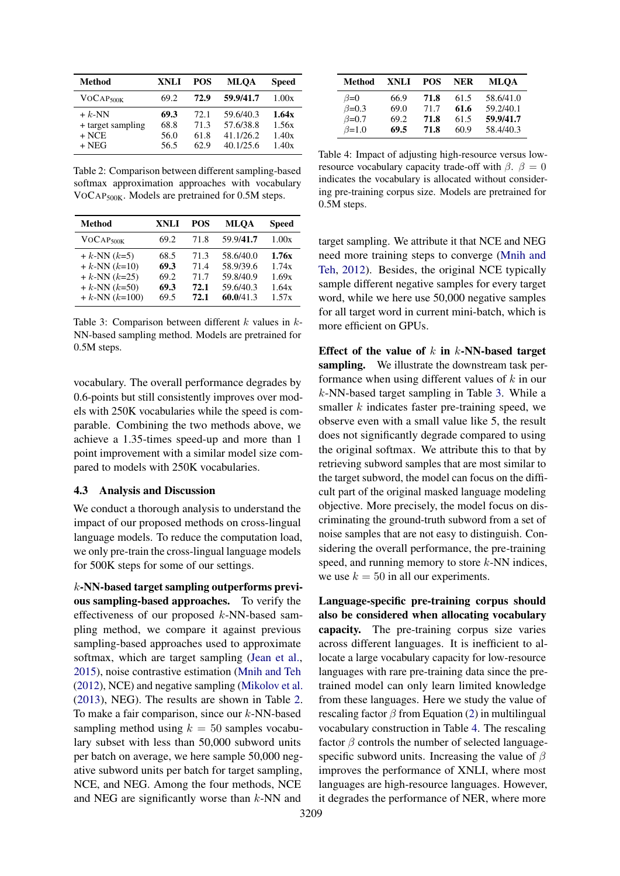<span id="page-6-0"></span>

| <b>Method</b>         | XNLI | POS  | MLOA      | <b>Speed</b> |
|-----------------------|------|------|-----------|--------------|
| VOCAP <sub>500K</sub> | 69.2 | 72.9 | 59.9/41.7 | 1.00x        |
| $+ k$ -NN             | 69.3 | 72.1 | 59.6/40.3 | 1.64x        |
| + target sampling     | 68.8 | 71.3 | 57.6/38.8 | 1.56x        |
| $+$ NCE               | 56.0 | 61.8 | 41.1/26.2 | 1.40x        |
| $+$ NEG               | 56.5 | 62.9 | 40.1/25.6 | 1.40x        |

Table 2: Comparison between different sampling-based softmax approximation approaches with vocabulary VOCAP500K. Models are pretrained for 0.5M steps.

<span id="page-6-1"></span>

| <b>Method</b>                                                                                              | <b>XNLI</b>                          | <b>POS</b>                           | <b>MLOA</b>                                                   | <b>Speed</b>                              |
|------------------------------------------------------------------------------------------------------------|--------------------------------------|--------------------------------------|---------------------------------------------------------------|-------------------------------------------|
| VOCAP <sub>500K</sub>                                                                                      | 69.2                                 | 71.8                                 | 59.9/41.7                                                     | 1.00x                                     |
| + $k$ -NN $(k=5)$<br>$+ k$ -NN $(k=10)$<br>+ $k$ -NN $(k=25)$<br>$+ k$ -NN $(k=50)$<br>$+ k$ -NN $(k=100)$ | 68.5<br>69.3<br>69.2<br>69.3<br>69.5 | 71.3<br>71.4<br>71.7<br>72.1<br>72.1 | 58.6/40.0<br>58.9/39.6<br>59.8/40.9<br>59.6/40.3<br>60.0/41.3 | 1.76x<br>1.74x<br>1.69x<br>1.64x<br>1.57x |

Table 3: Comparison between different  $k$  values in  $k$ -NN-based sampling method. Models are pretrained for 0.5M steps.

vocabulary. The overall performance degrades by 0.6-points but still consistently improves over models with 250K vocabularies while the speed is comparable. Combining the two methods above, we achieve a 1.35-times speed-up and more than 1 point improvement with a similar model size compared to models with 250K vocabularies.

#### 4.3 Analysis and Discussion

We conduct a thorough analysis to understand the impact of our proposed methods on cross-lingual language models. To reduce the computation load, we only pre-train the cross-lingual language models for 500K steps for some of our settings.

k-NN-based target sampling outperforms previous sampling-based approaches. To verify the effectiveness of our proposed k-NN-based sampling method, we compare it against previous sampling-based approaches used to approximate softmax, which are target sampling [\(Jean et al.,](#page-9-13) [2015\)](#page-9-13), noise contrastive estimation [\(Mnih and Teh](#page-10-8) [\(2012\)](#page-10-8), NCE) and negative sampling [\(Mikolov et al.](#page-10-9) [\(2013\)](#page-10-9), NEG). The results are shown in Table [2.](#page-6-0) To make a fair comparison, since our  $k$ -NN-based sampling method using  $k = 50$  samples vocabulary subset with less than 50,000 subword units per batch on average, we here sample 50,000 negative subword units per batch for target sampling, NCE, and NEG. Among the four methods, NCE and NEG are significantly worse than  $k$ -NN and

<span id="page-6-2"></span>

| Method        | <b>XNLI</b> | <b>POS</b> | <b>NER</b> | MLOA      |
|---------------|-------------|------------|------------|-----------|
| $\beta = 0$   | 66.9        | 71.8       | 61.5       | 58.6/41.0 |
| $\beta = 0.3$ | 69.0        | 71.7       | 61.6       | 59.2/40.1 |
| $\beta = 0.7$ | 69.2        | 71.8       | 61.5       | 59.9/41.7 |
| $\beta=1.0$   | 69.5        | 71.8       | 60.9       | 58.4/40.3 |

Table 4: Impact of adjusting high-resource versus lowresource vocabulary capacity trade-off with  $\beta$ .  $\beta = 0$ indicates the vocabulary is allocated without considering pre-training corpus size. Models are pretrained for 0.5M steps.

target sampling. We attribute it that NCE and NEG need more training steps to converge [\(Mnih and](#page-10-8) [Teh,](#page-10-8) [2012\)](#page-10-8). Besides, the original NCE typically sample different negative samples for every target word, while we here use 50,000 negative samples for all target word in current mini-batch, which is more efficient on GPUs.

Effect of the value of  $k$  in  $k$ -NN-based target sampling. We illustrate the downstream task performance when using different values of k in our k-NN-based target sampling in Table [3.](#page-6-1) While a smaller  $k$  indicates faster pre-training speed, we observe even with a small value like 5, the result does not significantly degrade compared to using the original softmax. We attribute this to that by retrieving subword samples that are most similar to the target subword, the model can focus on the difficult part of the original masked language modeling objective. More precisely, the model focus on discriminating the ground-truth subword from a set of noise samples that are not easy to distinguish. Considering the overall performance, the pre-training speed, and running memory to store  $k$ -NN indices, we use  $k = 50$  in all our experiments.

Language-specific pre-training corpus should also be considered when allocating vocabulary capacity. The pre-training corpus size varies across different languages. It is inefficient to allocate a large vocabulary capacity for low-resource languages with rare pre-training data since the pretrained model can only learn limited knowledge from these languages. Here we study the value of rescaling factor  $\beta$  from Equation [\(2\)](#page-3-1) in multilingual vocabulary construction in Table [4.](#page-6-2) The rescaling factor  $\beta$  controls the number of selected languagespecific subword units. Increasing the value of  $\beta$ improves the performance of XNLI, where most languages are high-resource languages. However, it degrades the performance of NER, where more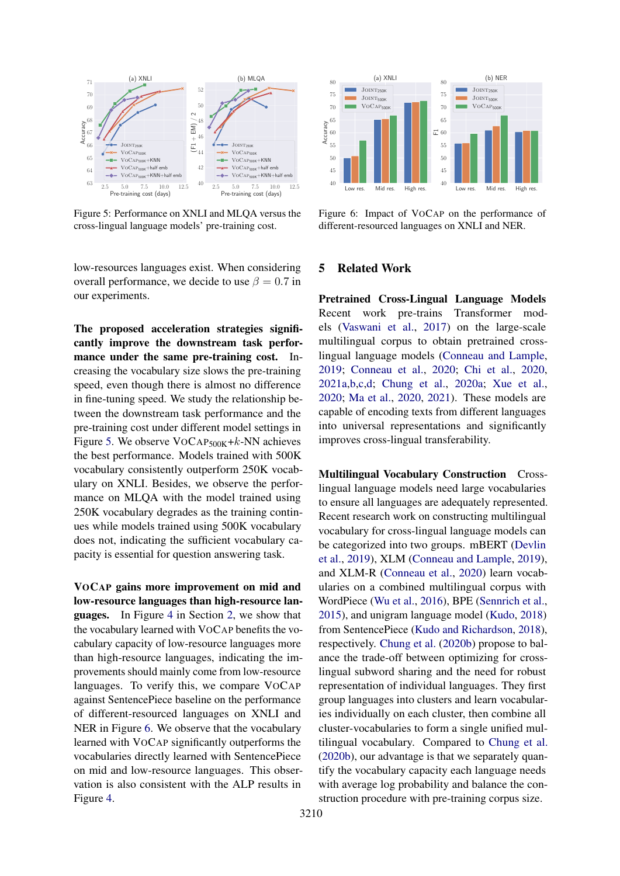<span id="page-7-0"></span>

Figure 5: Performance on XNLI and MLQA versus the cross-lingual language models' pre-training cost.

low-resources languages exist. When considering overall performance, we decide to use  $\beta = 0.7$  in our experiments.

<sup>23</sup>  $\frac{1}{2}$   $\frac{1}{2}$   $\frac{1}{2}$   $\frac{1}{2}$   $\frac{1}{2}$   $\frac{1}{2}$   $\frac{1}{2}$   $\frac{1}{2}$   $\frac{1}{2}$   $\frac{1}{2}$   $\frac{1}{2}$   $\frac{1}{2}$   $\frac{1}{2}$   $\frac{1}{2}$   $\frac{1}{2}$   $\frac{1}{2}$   $\frac{1}{2}$   $\frac{1}{2}$   $\frac{1}{2}$   $\frac{1}{2}$   $\frac{1}{2}$   $\frac{1}{$ The proposed acceleration strategies significantly improve the downstream task performance under the same pre-training cost. Increasing the vocabulary size slows the pre-training speed, even though there is almost no difference in fine-tuning speed. We study the relationship between the downstream task performance and the pre-training cost under different model settings in Figure [5.](#page-7-0) We observe  $VOCAP<sub>500K</sub>+k-NN$  achieves the best performance. Models trained with 500K vocabulary consistently outperform 250K vocabulary on XNLI. Besides, we observe the performance on MLQA with the model trained using 250K vocabulary degrades as the training continues while models trained using 500K vocabulary does not, indicating the sufficient vocabulary capacity is essential for question answering task.

VOCAP gains more improvement on mid and low-resource languages than high-resource languages. In Figure [4](#page-2-0) in Section [2,](#page-1-2) we show that the vocabulary learned with VOCAP benefits the vocabulary capacity of low-resource languages more than high-resource languages, indicating the improvements should mainly come from low-resource languages. To verify this, we compare VOCAP against SentencePiece baseline on the performance of different-resourced languages on XNLI and NER in Figure [6.](#page-7-1) We observe that the vocabulary learned with VOCAP significantly outperforms the vocabularies directly learned with SentencePiece on mid and low-resource languages. This observation is also consistent with the ALP results in Figure [4.](#page-2-0)

<span id="page-7-1"></span>

Figure 6: Impact of VOCAP on the performance of different-resourced languages on XNLI and NER.

### 5 Related Work

Pretrained Cross-Lingual Language Models Recent work pre-trains Transformer models [\(Vaswani et al.,](#page-10-1) [2017\)](#page-10-1) on the large-scale multilingual corpus to obtain pretrained crosslingual language models [\(Conneau and Lample,](#page-9-0) [2019;](#page-9-0) [Conneau et al.,](#page-9-1) [2020;](#page-9-1) [Chi et al.,](#page-8-3) [2020,](#page-8-3) [2021a](#page-8-4)[,b](#page-8-0)[,c](#page-8-5)[,d;](#page-9-14) [Chung et al.,](#page-9-9) [2020a;](#page-9-9) [Xue et al.,](#page-10-0) [2020;](#page-10-0) [Ma et al.,](#page-10-10) [2020,](#page-10-10) [2021\)](#page-10-11). These models are capable of encoding texts from different languages into universal representations and significantly improves cross-lingual transferability.

Multilingual Vocabulary Construction Crosslingual language models need large vocabularies to ensure all languages are adequately represented. Recent research work on constructing multilingual vocabulary for cross-lingual language models can be categorized into two groups. mBERT [\(Devlin](#page-9-2) [et al.,](#page-9-2) [2019\)](#page-9-2), XLM [\(Conneau and Lample,](#page-9-0) [2019\)](#page-9-0), and XLM-R [\(Conneau et al.,](#page-9-1) [2020\)](#page-9-1) learn vocabularies on a combined multilingual corpus with WordPiece [\(Wu et al.,](#page-10-12) [2016\)](#page-10-12), BPE [\(Sennrich et al.,](#page-10-3) [2015\)](#page-10-3), and unigram language model [\(Kudo,](#page-9-4) [2018\)](#page-9-4) from SentencePiece [\(Kudo and Richardson,](#page-9-7) [2018\)](#page-9-7), respectively. [Chung et al.](#page-9-5) [\(2020b\)](#page-9-5) propose to balance the trade-off between optimizing for crosslingual subword sharing and the need for robust representation of individual languages. They first group languages into clusters and learn vocabularies individually on each cluster, then combine all cluster-vocabularies to form a single unified multilingual vocabulary. Compared to [Chung et al.](#page-9-5) [\(2020b\)](#page-9-5), our advantage is that we separately quantify the vocabulary capacity each language needs with average log probability and balance the construction procedure with pre-training corpus size.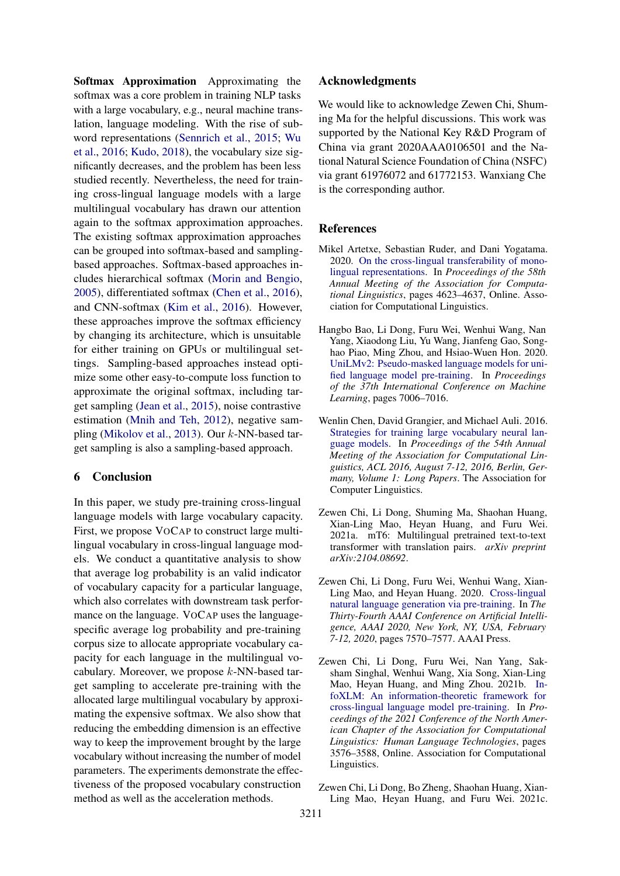Softmax Approximation Approximating the softmax was a core problem in training NLP tasks with a large vocabulary, e.g., neural machine translation, language modeling. With the rise of subword representations [\(Sennrich et al.,](#page-10-3) [2015;](#page-10-3) [Wu](#page-10-12) [et al.,](#page-10-12) [2016;](#page-10-12) [Kudo,](#page-9-4) [2018\)](#page-9-4), the vocabulary size significantly decreases, and the problem has been less studied recently. Nevertheless, the need for training cross-lingual language models with a large multilingual vocabulary has drawn our attention again to the softmax approximation approaches. The existing softmax approximation approaches can be grouped into softmax-based and samplingbased approaches. Softmax-based approaches includes hierarchical softmax [\(Morin and Bengio,](#page-10-13) [2005\)](#page-10-13), differentiated softmax [\(Chen et al.,](#page-8-6) [2016\)](#page-8-6), and CNN-softmax [\(Kim et al.,](#page-9-15) [2016\)](#page-9-15). However, these approaches improve the softmax efficiency by changing its architecture, which is unsuitable for either training on GPUs or multilingual settings. Sampling-based approaches instead optimize some other easy-to-compute loss function to approximate the original softmax, including target sampling [\(Jean et al.,](#page-9-13) [2015\)](#page-9-13), noise contrastive estimation [\(Mnih and Teh,](#page-10-8) [2012\)](#page-10-8), negative sampling [\(Mikolov et al.,](#page-10-9) [2013\)](#page-10-9). Our k-NN-based target sampling is also a sampling-based approach.

## 6 Conclusion

In this paper, we study pre-training cross-lingual language models with large vocabulary capacity. First, we propose VOCAP to construct large multilingual vocabulary in cross-lingual language models. We conduct a quantitative analysis to show that average log probability is an valid indicator of vocabulary capacity for a particular language, which also correlates with downstream task performance on the language. VOCAP uses the languagespecific average log probability and pre-training corpus size to allocate appropriate vocabulary capacity for each language in the multilingual vocabulary. Moreover, we propose  $k$ -NN-based target sampling to accelerate pre-training with the allocated large multilingual vocabulary by approximating the expensive softmax. We also show that reducing the embedding dimension is an effective way to keep the improvement brought by the large vocabulary without increasing the number of model parameters. The experiments demonstrate the effectiveness of the proposed vocabulary construction method as well as the acceleration methods.

### Acknowledgments

We would like to acknowledge Zewen Chi, Shuming Ma for the helpful discussions. This work was supported by the National Key R&D Program of China via grant 2020AAA0106501 and the National Natural Science Foundation of China (NSFC) via grant 61976072 and 61772153. Wanxiang Che is the corresponding author.

### References

- <span id="page-8-2"></span>Mikel Artetxe, Sebastian Ruder, and Dani Yogatama. 2020. [On the cross-lingual transferability of mono](https://doi.org/10.18653/v1/2020.acl-main.421)[lingual representations.](https://doi.org/10.18653/v1/2020.acl-main.421) In *Proceedings of the 58th Annual Meeting of the Association for Computational Linguistics*, pages 4623–4637, Online. Association for Computational Linguistics.
- <span id="page-8-1"></span>Hangbo Bao, Li Dong, Furu Wei, Wenhui Wang, Nan Yang, Xiaodong Liu, Yu Wang, Jianfeng Gao, Songhao Piao, Ming Zhou, and Hsiao-Wuen Hon. 2020. [UniLMv2: Pseudo-masked language models for uni](https://proceedings.icml.cc/static/paper_files/icml/2020/3934-Paper.pdf)[fied language model pre-training.](https://proceedings.icml.cc/static/paper_files/icml/2020/3934-Paper.pdf) In *Proceedings of the 37th International Conference on Machine Learning*, pages 7006–7016.
- <span id="page-8-6"></span>Wenlin Chen, David Grangier, and Michael Auli. 2016. [Strategies for training large vocabulary neural lan](https://doi.org/10.18653/v1/p16-1186)[guage models.](https://doi.org/10.18653/v1/p16-1186) In *Proceedings of the 54th Annual Meeting of the Association for Computational Linguistics, ACL 2016, August 7-12, 2016, Berlin, Germany, Volume 1: Long Papers*. The Association for Computer Linguistics.
- <span id="page-8-4"></span>Zewen Chi, Li Dong, Shuming Ma, Shaohan Huang, Xian-Ling Mao, Heyan Huang, and Furu Wei. 2021a. mT6: Multilingual pretrained text-to-text transformer with translation pairs. *arXiv preprint arXiv:2104.08692*.
- <span id="page-8-3"></span>Zewen Chi, Li Dong, Furu Wei, Wenhui Wang, Xian-Ling Mao, and Heyan Huang. 2020. [Cross-lingual](https://www.aaai.org/Papers/AAAI/2020GB/AAAI-ChiZ.7682.pdf) [natural language generation via pre-training.](https://www.aaai.org/Papers/AAAI/2020GB/AAAI-ChiZ.7682.pdf) In *The Thirty-Fourth AAAI Conference on Artificial Intelligence, AAAI 2020, New York, NY, USA, February 7-12, 2020*, pages 7570–7577. AAAI Press.
- <span id="page-8-0"></span>Zewen Chi, Li Dong, Furu Wei, Nan Yang, Saksham Singhal, Wenhui Wang, Xia Song, Xian-Ling Mao, Heyan Huang, and Ming Zhou. 2021b. [In](https://doi.org/10.18653/v1/2021.naacl-main.280)[foXLM: An information-theoretic framework for](https://doi.org/10.18653/v1/2021.naacl-main.280) [cross-lingual language model pre-training.](https://doi.org/10.18653/v1/2021.naacl-main.280) In *Proceedings of the 2021 Conference of the North American Chapter of the Association for Computational Linguistics: Human Language Technologies*, pages 3576–3588, Online. Association for Computational Linguistics.
- <span id="page-8-5"></span>Zewen Chi, Li Dong, Bo Zheng, Shaohan Huang, Xian-Ling Mao, Heyan Huang, and Furu Wei. 2021c.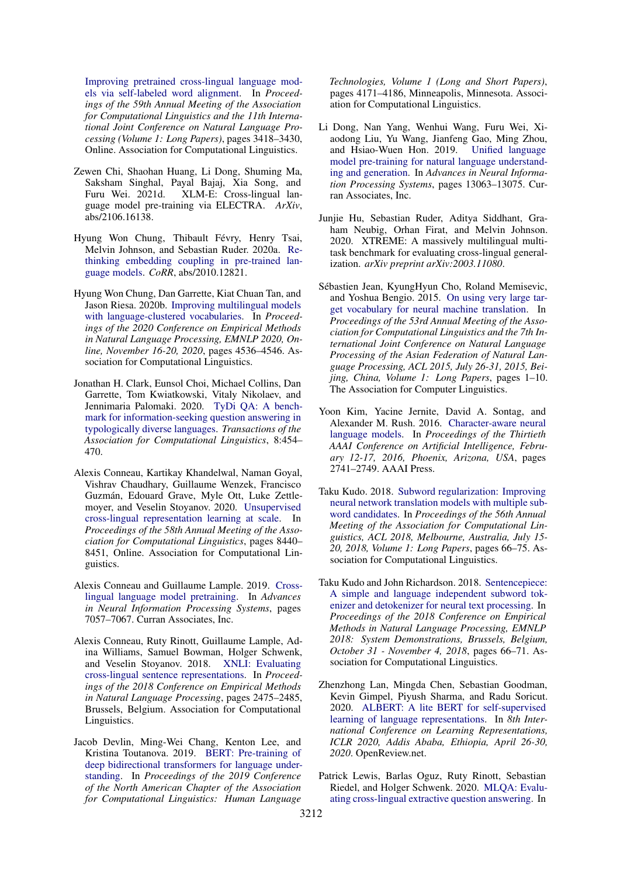[Improving pretrained cross-lingual language mod](https://doi.org/10.18653/v1/2021.acl-long.265)[els via self-labeled word alignment.](https://doi.org/10.18653/v1/2021.acl-long.265) In *Proceedings of the 59th Annual Meeting of the Association for Computational Linguistics and the 11th International Joint Conference on Natural Language Processing (Volume 1: Long Papers)*, pages 3418–3430, Online. Association for Computational Linguistics.

- <span id="page-9-14"></span>Zewen Chi, Shaohan Huang, Li Dong, Shuming Ma, Saksham Singhal, Payal Bajaj, Xia Song, and Furu Wei. 2021d. XLM-E: Cross-lingual language model pre-training via ELECTRA. *ArXiv*, abs/2106.16138.
- <span id="page-9-9"></span>Hyung Won Chung, Thibault Févry, Henry Tsai, Melvin Johnson, and Sebastian Ruder. 2020a. [Re](http://arxiv.org/abs/2010.12821)[thinking embedding coupling in pre-trained lan](http://arxiv.org/abs/2010.12821)[guage models.](http://arxiv.org/abs/2010.12821) *CoRR*, abs/2010.12821.
- <span id="page-9-5"></span>Hyung Won Chung, Dan Garrette, Kiat Chuan Tan, and Jason Riesa. 2020b. [Improving multilingual models](https://doi.org/10.18653/v1/2020.emnlp-main.367) [with language-clustered vocabularies.](https://doi.org/10.18653/v1/2020.emnlp-main.367) In *Proceedings of the 2020 Conference on Empirical Methods in Natural Language Processing, EMNLP 2020, Online, November 16-20, 2020*, pages 4536–4546. Association for Computational Linguistics.
- <span id="page-9-12"></span>Jonathan H. Clark, Eunsol Choi, Michael Collins, Dan Garrette, Tom Kwiatkowski, Vitaly Nikolaev, and Jennimaria Palomaki. 2020. [TyDi QA: A bench](https://doi.org/10.1162/tacl_a_00317)[mark for information-seeking question answering in](https://doi.org/10.1162/tacl_a_00317) [typologically diverse languages.](https://doi.org/10.1162/tacl_a_00317) *Transactions of the Association for Computational Linguistics*, 8:454– 470.
- <span id="page-9-1"></span>Alexis Conneau, Kartikay Khandelwal, Naman Goyal, Vishrav Chaudhary, Guillaume Wenzek, Francisco Guzmán, Edouard Grave, Myle Ott, Luke Zettlemoyer, and Veselin Stoyanov. 2020. [Unsupervised](https://www.aclweb.org/anthology/2020.acl-main.747) [cross-lingual representation learning at scale.](https://www.aclweb.org/anthology/2020.acl-main.747) In *Proceedings of the 58th Annual Meeting of the Association for Computational Linguistics*, pages 8440– 8451, Online. Association for Computational Linguistics.
- <span id="page-9-0"></span>Alexis Conneau and Guillaume Lample. 2019. [Cross](http://papers.nips.cc/paper/8928-cross-lingual-language-model-pretraining.pdf)[lingual language model pretraining.](http://papers.nips.cc/paper/8928-cross-lingual-language-model-pretraining.pdf) In *Advances in Neural Information Processing Systems*, pages 7057–7067. Curran Associates, Inc.
- <span id="page-9-10"></span>Alexis Conneau, Ruty Rinott, Guillaume Lample, Adina Williams, Samuel Bowman, Holger Schwenk, and Veselin Stoyanov. 2018. [XNLI: Evaluating](https://doi.org/10.18653/v1/D18-1269) [cross-lingual sentence representations.](https://doi.org/10.18653/v1/D18-1269) In *Proceedings of the 2018 Conference on Empirical Methods in Natural Language Processing*, pages 2475–2485, Brussels, Belgium. Association for Computational Linguistics.
- <span id="page-9-2"></span>Jacob Devlin, Ming-Wei Chang, Kenton Lee, and Kristina Toutanova. 2019. [BERT: Pre-training of](https://doi.org/10.18653/v1/N19-1423) [deep bidirectional transformers for language under](https://doi.org/10.18653/v1/N19-1423)[standing.](https://doi.org/10.18653/v1/N19-1423) In *Proceedings of the 2019 Conference of the North American Chapter of the Association for Computational Linguistics: Human Language*

*Technologies, Volume 1 (Long and Short Papers)*, pages 4171–4186, Minneapolis, Minnesota. Association for Computational Linguistics.

- <span id="page-9-3"></span>Li Dong, Nan Yang, Wenhui Wang, Furu Wei, Xiaodong Liu, Yu Wang, Jianfeng Gao, Ming Zhou, and Hsiao-Wuen Hon. 2019. [Unified language](http://papers.nips.cc/paper/9464-unified-language-model-pre-training-for-natural-language-understanding-and-generation.pdf) [model pre-training for natural language understand](http://papers.nips.cc/paper/9464-unified-language-model-pre-training-for-natural-language-understanding-and-generation.pdf)[ing and generation.](http://papers.nips.cc/paper/9464-unified-language-model-pre-training-for-natural-language-understanding-and-generation.pdf) In *Advances in Neural Information Processing Systems*, pages 13063–13075. Curran Associates, Inc.
- <span id="page-9-6"></span>Junjie Hu, Sebastian Ruder, Aditya Siddhant, Graham Neubig, Orhan Firat, and Melvin Johnson. 2020. XTREME: A massively multilingual multitask benchmark for evaluating cross-lingual generalization. *arXiv preprint arXiv:2003.11080*.
- <span id="page-9-13"></span>Sébastien Jean, KyungHyun Cho, Roland Memisevic, and Yoshua Bengio. 2015. [On using very large tar](https://doi.org/10.3115/v1/p15-1001)[get vocabulary for neural machine translation.](https://doi.org/10.3115/v1/p15-1001) In *Proceedings of the 53rd Annual Meeting of the Association for Computational Linguistics and the 7th International Joint Conference on Natural Language Processing of the Asian Federation of Natural Language Processing, ACL 2015, July 26-31, 2015, Beijing, China, Volume 1: Long Papers*, pages 1–10. The Association for Computer Linguistics.
- <span id="page-9-15"></span>Yoon Kim, Yacine Jernite, David A. Sontag, and Alexander M. Rush. 2016. [Character-aware neural](http://www.aaai.org/ocs/index.php/AAAI/AAAI16/paper/view/12489) [language models.](http://www.aaai.org/ocs/index.php/AAAI/AAAI16/paper/view/12489) In *Proceedings of the Thirtieth AAAI Conference on Artificial Intelligence, February 12-17, 2016, Phoenix, Arizona, USA*, pages 2741–2749. AAAI Press.
- <span id="page-9-4"></span>Taku Kudo. 2018. [Subword regularization: Improving](https://doi.org/10.18653/v1/P18-1007) [neural network translation models with multiple sub](https://doi.org/10.18653/v1/P18-1007)[word candidates.](https://doi.org/10.18653/v1/P18-1007) In *Proceedings of the 56th Annual Meeting of the Association for Computational Linguistics, ACL 2018, Melbourne, Australia, July 15- 20, 2018, Volume 1: Long Papers*, pages 66–75. Association for Computational Linguistics.
- <span id="page-9-7"></span>Taku Kudo and John Richardson. 2018. [Sentencepiece:](https://doi.org/10.18653/v1/d18-2012) [A simple and language independent subword tok](https://doi.org/10.18653/v1/d18-2012)[enizer and detokenizer for neural text processing.](https://doi.org/10.18653/v1/d18-2012) In *Proceedings of the 2018 Conference on Empirical Methods in Natural Language Processing, EMNLP 2018: System Demonstrations, Brussels, Belgium, October 31 - November 4, 2018*, pages 66–71. Association for Computational Linguistics.
- <span id="page-9-8"></span>Zhenzhong Lan, Mingda Chen, Sebastian Goodman, Kevin Gimpel, Piyush Sharma, and Radu Soricut. 2020. [ALBERT: A lite BERT for self-supervised](https://openreview.net/forum?id=H1eA7AEtvS) [learning of language representations.](https://openreview.net/forum?id=H1eA7AEtvS) In *8th International Conference on Learning Representations, ICLR 2020, Addis Ababa, Ethiopia, April 26-30, 2020*. OpenReview.net.
- <span id="page-9-11"></span>Patrick Lewis, Barlas Oguz, Ruty Rinott, Sebastian Riedel, and Holger Schwenk. 2020. [MLQA: Evalu](https://www.aclweb.org/anthology/2020.acl-main.653)[ating cross-lingual extractive question answering.](https://www.aclweb.org/anthology/2020.acl-main.653) In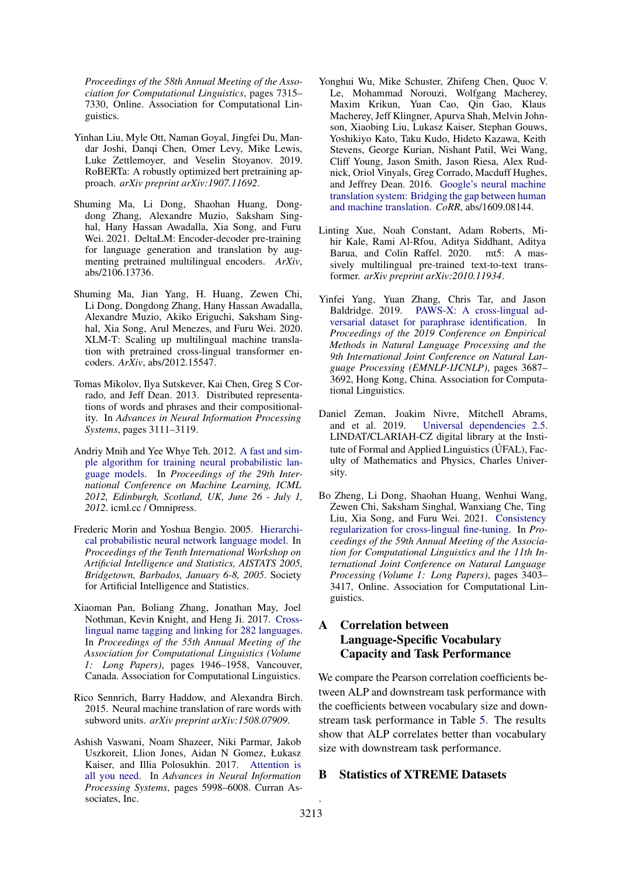*Proceedings of the 58th Annual Meeting of the Association for Computational Linguistics*, pages 7315– 7330, Online. Association for Computational Linguistics.

- <span id="page-10-2"></span>Yinhan Liu, Myle Ott, Naman Goyal, Jingfei Du, Mandar Joshi, Danqi Chen, Omer Levy, Mike Lewis, Luke Zettlemoyer, and Veselin Stoyanov. 2019. RoBERTa: A robustly optimized bert pretraining approach. *arXiv preprint arXiv:1907.11692*.
- <span id="page-10-11"></span>Shuming Ma, Li Dong, Shaohan Huang, Dongdong Zhang, Alexandre Muzio, Saksham Singhal, Hany Hassan Awadalla, Xia Song, and Furu Wei. 2021. DeltaLM: Encoder-decoder pre-training for language generation and translation by augmenting pretrained multilingual encoders. *ArXiv*, abs/2106.13736.
- <span id="page-10-10"></span>Shuming Ma, Jian Yang, H. Huang, Zewen Chi, Li Dong, Dongdong Zhang, Hany Hassan Awadalla, Alexandre Muzio, Akiko Eriguchi, Saksham Singhal, Xia Song, Arul Menezes, and Furu Wei. 2020. XLM-T: Scaling up multilingual machine translation with pretrained cross-lingual transformer encoders. *ArXiv*, abs/2012.15547.
- <span id="page-10-9"></span>Tomas Mikolov, Ilya Sutskever, Kai Chen, Greg S Corrado, and Jeff Dean. 2013. Distributed representations of words and phrases and their compositionality. In *Advances in Neural Information Processing Systems*, pages 3111–3119.
- <span id="page-10-8"></span>Andriy Mnih and Yee Whye Teh. 2012. [A fast and sim](http://icml.cc/2012/papers/855.pdf)[ple algorithm for training neural probabilistic lan](http://icml.cc/2012/papers/855.pdf)[guage models.](http://icml.cc/2012/papers/855.pdf) In *Proceedings of the 29th International Conference on Machine Learning, ICML 2012, Edinburgh, Scotland, UK, June 26 - July 1, 2012*. icml.cc / Omnipress.
- <span id="page-10-13"></span>Frederic Morin and Yoshua Bengio. 2005. [Hierarchi](http://www.gatsby.ucl.ac.uk/aistats/fullpapers/208.pdf)[cal probabilistic neural network language model.](http://www.gatsby.ucl.ac.uk/aistats/fullpapers/208.pdf) In *Proceedings of the Tenth International Workshop on Artificial Intelligence and Statistics, AISTATS 2005, Bridgetown, Barbados, January 6-8, 2005*. Society for Artificial Intelligence and Statistics.
- <span id="page-10-4"></span>Xiaoman Pan, Boliang Zhang, Jonathan May, Joel Nothman, Kevin Knight, and Heng Ji. 2017. [Cross](https://doi.org/10.18653/v1/P17-1178)[lingual name tagging and linking for 282 languages.](https://doi.org/10.18653/v1/P17-1178) In *Proceedings of the 55th Annual Meeting of the Association for Computational Linguistics (Volume 1: Long Papers)*, pages 1946–1958, Vancouver, Canada. Association for Computational Linguistics.
- <span id="page-10-3"></span>Rico Sennrich, Barry Haddow, and Alexandra Birch. 2015. Neural machine translation of rare words with subword units. *arXiv preprint arXiv:1508.07909*.
- <span id="page-10-1"></span>Ashish Vaswani, Noam Shazeer, Niki Parmar, Jakob Uszkoreit, Llion Jones, Aidan N Gomez, Łukasz Kaiser, and Illia Polosukhin. 2017. [Attention is](http://papers.nips.cc/paper/7181-attention-is-all-you-need.pdf) [all you need.](http://papers.nips.cc/paper/7181-attention-is-all-you-need.pdf) In *Advances in Neural Information Processing Systems*, pages 5998–6008. Curran Associates, Inc.
- <span id="page-10-12"></span>Yonghui Wu, Mike Schuster, Zhifeng Chen, Quoc V. Le, Mohammad Norouzi, Wolfgang Macherey, Maxim Krikun, Yuan Cao, Qin Gao, Klaus Macherey, Jeff Klingner, Apurva Shah, Melvin Johnson, Xiaobing Liu, Lukasz Kaiser, Stephan Gouws, Yoshikiyo Kato, Taku Kudo, Hideto Kazawa, Keith Stevens, George Kurian, Nishant Patil, Wei Wang, Cliff Young, Jason Smith, Jason Riesa, Alex Rudnick, Oriol Vinyals, Greg Corrado, Macduff Hughes, and Jeffrey Dean. 2016. [Google's neural machine](http://arxiv.org/abs/1609.08144) [translation system: Bridging the gap between human](http://arxiv.org/abs/1609.08144) [and machine translation.](http://arxiv.org/abs/1609.08144) *CoRR*, abs/1609.08144.
- <span id="page-10-0"></span>Linting Xue, Noah Constant, Adam Roberts, Mihir Kale, Rami Al-Rfou, Aditya Siddhant, Aditya Barua, and Colin Raffel. 2020. mt5: A massively multilingual pre-trained text-to-text transformer. *arXiv preprint arXiv:2010.11934*.
- <span id="page-10-6"></span>Yinfei Yang, Yuan Zhang, Chris Tar, and Jason Baldridge. 2019. [PAWS-X: A cross-lingual ad](https://doi.org/10.18653/v1/D19-1382)[versarial dataset for paraphrase identification.](https://doi.org/10.18653/v1/D19-1382) In *Proceedings of the 2019 Conference on Empirical Methods in Natural Language Processing and the 9th International Joint Conference on Natural Language Processing (EMNLP-IJCNLP)*, pages 3687– 3692, Hong Kong, China. Association for Computational Linguistics.
- <span id="page-10-5"></span>Daniel Zeman, Joakim Nivre, Mitchell Abrams, and et al. 2019. [Universal dependencies 2.5.](http://hdl.handle.net/11234/1-3105) LINDAT/CLARIAH-CZ digital library at the Institute of Formal and Applied Linguistics (ÚFAL), Faculty of Mathematics and Physics, Charles University.
- <span id="page-10-7"></span>Bo Zheng, Li Dong, Shaohan Huang, Wenhui Wang, Zewen Chi, Saksham Singhal, Wanxiang Che, Ting Liu, Xia Song, and Furu Wei. 2021. [Consistency](https://doi.org/10.18653/v1/2021.acl-long.264) [regularization for cross-lingual fine-tuning.](https://doi.org/10.18653/v1/2021.acl-long.264) In *Proceedings of the 59th Annual Meeting of the Association for Computational Linguistics and the 11th International Joint Conference on Natural Language Processing (Volume 1: Long Papers)*, pages 3403– 3417, Online. Association for Computational Linguistics.

# A Correlation between Language-Specific Vocabulary Capacity and Task Performance

We compare the Pearson correlation coefficients between ALP and downstream task performance with the coefficients between vocabulary size and downstream task performance in Table [5.](#page-11-0) The results show that ALP correlates better than vocabulary size with downstream task performance.

### B Statistics of XTREME Datasets

.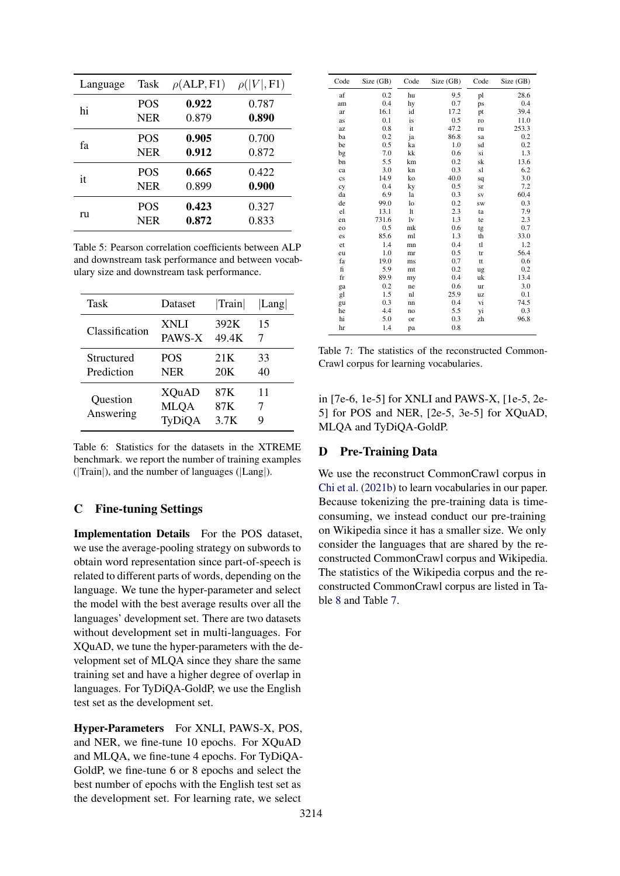<span id="page-11-0"></span>

| Language | Task       | $\rho$ (ALP, F1) | $\rho( V , F1)$ |
|----------|------------|------------------|-----------------|
| hi       | <b>POS</b> | 0.922            | 0.787           |
|          | <b>NER</b> | 0.879            | 0.890           |
| fа       | <b>POS</b> | 0.905            | 0.700           |
|          | <b>NER</b> | 0.912            | 0.872           |
| it       | <b>POS</b> | 0.665            | 0.422           |
|          | <b>NER</b> | 0.899            | 0.900           |
| ru       | <b>POS</b> | 0.423            | 0.327           |
|          | NER        | 0.872            | 0.833           |

Table 5: Pearson correlation coefficients between ALP and downstream task performance and between vocabulary size and downstream task performance.

| Task                  | Dataset                        | Train              | Lang    |
|-----------------------|--------------------------------|--------------------|---------|
| Classification        | XNLI                           | 392K               | 15      |
|                       | PAWS-X                         | 49.4K              | 7       |
| Structured            | POS                            | 21K                | 33      |
| Prediction            | NER                            | 20K                | 40      |
| Question<br>Answering | XQuAD<br><b>MLQA</b><br>TyDiQA | 87K<br>87K<br>3.7K | 11<br>7 |

Table 6: Statistics for the datasets in the XTREME benchmark. we report the number of training examples (|Train|), and the number of languages (|Lang|).

## C Fine-tuning Settings

Implementation Details For the POS dataset, we use the average-pooling strategy on subwords to obtain word representation since part-of-speech is related to different parts of words, depending on the language. We tune the hyper-parameter and select the model with the best average results over all the languages' development set. There are two datasets without development set in multi-languages. For XQuAD, we tune the hyper-parameters with the development set of MLQA since they share the same training set and have a higher degree of overlap in languages. For TyDiQA-GoldP, we use the English test set as the development set.

Hyper-Parameters For XNLI, PAWS-X, POS, and NER, we fine-tune 10 epochs. For XQuAD and MLQA, we fine-tune 4 epochs. For TyDiQA-GoldP, we fine-tune 6 or 8 epochs and select the best number of epochs with the English test set as the development set. For learning rate, we select

<span id="page-11-1"></span>

| Code                   | Size (GB) | Code | Size (GB) | Code      | Size (GB) |
|------------------------|-----------|------|-----------|-----------|-----------|
| af                     | 0.2       | hu   | 9.5       | pl        | 28.6      |
| am                     | 0.4       | hy   | 0.7       | ps        | 0.4       |
| ar                     | 16.1      | id   | 17.2      | pt        | 39.4      |
| as                     | 0.1       | is   | 0.5       | ro        | 11.0      |
| az                     | 0.8       | it   | 47.2      | ru        | 253.3     |
| ba                     | 0.2       | ja   | 86.8      | sa        | 0.2       |
| be                     | 0.5       | ka   | 1.0       | sd        | 0.2       |
| bg                     | 7.0       | kk   | 0.6       | si        | 1.3       |
| bn                     | 5.5       | km   | 0.2       | sk        | 13.6      |
| ca                     | 3.0       | kn   | 0.3       | sl        | 6.2       |
| $\mathbf{c}\mathbf{s}$ | 14.9      | ko   | 40.0      | sq        | 3.0       |
| cy                     | 0.4       | ky   | 0.5       | sr        | 7.2       |
| da                     | 6.9       | la   | 0.3       | <b>SV</b> | 60.4      |
| de                     | 99.0      | lo   | 0.2       | <b>SW</b> | 0.3       |
| el                     | 13.1      | 1t   | 2.3       | ta        | 7.9       |
| en                     | 731.6     | lv   | 1.3       | te        | 2.3       |
| eo                     | 0.5       | mk   | 0.6       | tg        | 0.7       |
| es                     | 85.6      | ml   | 1.3       | th        | 33.0      |
| et                     | 1.4       | mn   | 0.4       | tl        | 1.2       |
| eu                     | 1.0       | mr   | 0.5       | tr        | 56.4      |
| fa                     | 19.0      | ms   | 0.7       | tt        | 0.6       |
| fi                     | 5.9       | mt   | 0.2       | ug        | 0.2       |
| fr                     | 89.9      | my   | 0.4       | uk        | 13.4      |
| ga                     | 0.2       | ne   | 0.6       | ur        | 3.0       |
| gl                     | 1.5       | nl   | 25.9      | uz        | 0.1       |
| gu                     | 0.3       | nn   | 0.4       | vi        | 74.5      |
| he                     | 4.4       | no   | 5.5       | yi        | 0.3       |
| hi                     | 5.0       | or   | 0.3       | zh        | 96.8      |
| hr                     | 1.4       | pa   | 0.8       |           |           |

Table 7: The statistics of the reconstructed Common-Crawl corpus for learning vocabularies.

in [7e-6, 1e-5] for XNLI and PAWS-X, [1e-5, 2e-5] for POS and NER, [2e-5, 3e-5] for XQuAD, MLQA and TyDiQA-GoldP.

### D Pre-Training Data

We use the reconstruct CommonCrawl corpus in [Chi et al.](#page-8-0) [\(2021b\)](#page-8-0) to learn vocabularies in our paper. Because tokenizing the pre-training data is timeconsuming, we instead conduct our pre-training on Wikipedia since it has a smaller size. We only consider the languages that are shared by the reconstructed CommonCrawl corpus and Wikipedia. The statistics of the Wikipedia corpus and the reconstructed CommonCrawl corpus are listed in Table [8](#page-12-0) and Table [7.](#page-11-1)